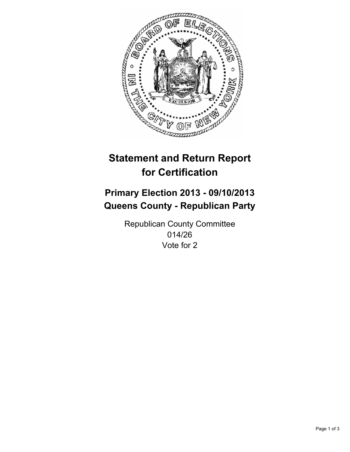

# **Statement and Return Report for Certification**

## **Primary Election 2013 - 09/10/2013 Queens County - Republican Party**

Republican County Committee 014/26 Vote for 2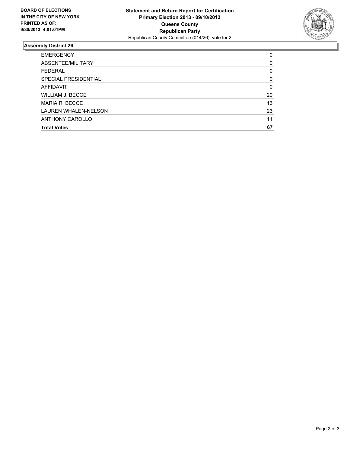

### **Assembly District 26**

| <b>EMERGENCY</b>        | 0        |
|-------------------------|----------|
| ABSENTEE/MILITARY       | $\Omega$ |
| <b>FEDERAL</b>          | 0        |
| SPECIAL PRESIDENTIAL    | $\Omega$ |
| <b>AFFIDAVIT</b>        | $\Omega$ |
| <b>WILLIAM J. BECCE</b> | 20       |
| MARIA R. BECCE          | 13       |
| LAUREN WHALEN-NELSON    | 23       |
| ANTHONY CAROLLO         | 11       |
| <b>Total Votes</b>      | 67       |